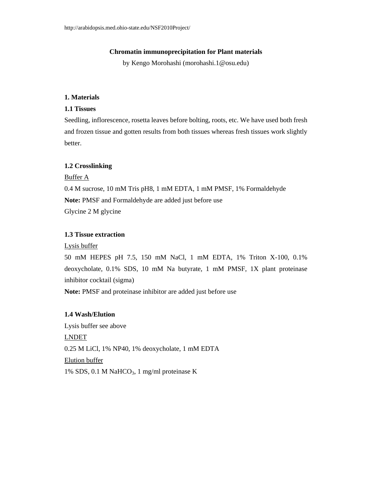### **Chromatin immunoprecipitation for Plant materials**

by Kengo Morohashi (morohashi.1@osu.edu)

# **1. Materials**

## **1.1 Tissues**

Seedling, inflorescence, rosetta leaves before bolting, roots, etc. We have used both fresh and frozen tissue and gotten results from both tissues whereas fresh tissues work slightly better.

### **1.2 Crosslinking**

#### Buffer A

0.4 M sucrose, 10 mM Tris pH8, 1 mM EDTA, 1 mM PMSF, 1% Formaldehyde **Note:** PMSF and Formaldehyde are added just before use Glycine 2 M glycine

# **1.3 Tissue extraction**

Lysis buffer

50 mM HEPES pH 7.5, 150 mM NaCl, 1 mM EDTA, 1% Triton X-100, 0.1% deoxycholate, 0.1% SDS, 10 mM Na butyrate, 1 mM PMSF, 1X plant proteinase inhibitor cocktail (sigma)

**Note:** PMSF and proteinase inhibitor are added just before use

## **1.4 Wash/Elution**

Lysis buffer see above LNDET 0.25 M LiCl, 1% NP40, 1% deoxycholate, 1 mM EDTA Elution buffer 1% SDS, 0.1 M NaHCO<sub>3</sub>, 1 mg/ml proteinase K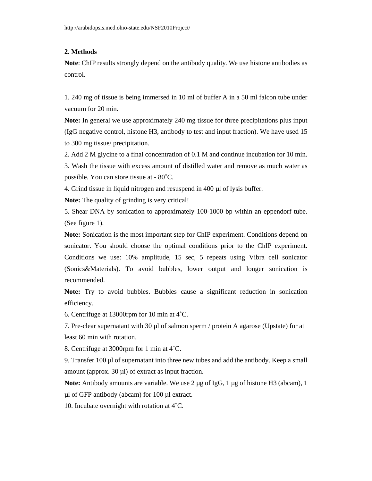## **2. Methods**

**Note**: ChIP results strongly depend on the antibody quality. We use histone antibodies as control.

1. 240 mg of tissue is being immersed in 10 ml of buffer A in a 50 ml falcon tube under vacuum for 20 min.

**Note:** In general we use approximately 240 mg tissue for three precipitations plus input (IgG negative control, histone H3, antibody to test and input fraction). We have used 15 to 300 mg tissue/ precipitation.

2. Add 2 M glycine to a final concentration of 0.1 M and continue incubation for 10 min.

3. Wash the tissue with excess amount of distilled water and remove as much water as possible. You can store tissue at - 80˚C.

4. Grind tissue in liquid nitrogen and resuspend in 400 µl of lysis buffer.

**Note:** The quality of grinding is very critical!

5. Shear DNA by sonication to approximately 100-1000 bp within an eppendorf tube. (See figure 1).

**Note:** Sonication is the most important step for ChIP experiment. Conditions depend on sonicator. You should choose the optimal conditions prior to the ChIP experiment. Conditions we use: 10% amplitude, 15 sec, 5 repeats using Vibra cell sonicator (Sonics&Materials). To avoid bubbles, lower output and longer sonication is recommended.

**Note:** Try to avoid bubbles. Bubbles cause a significant reduction in sonication efficiency.

6. Centrifuge at 13000rpm for 10 min at 4˚C.

7. Pre-clear supernatant with 30  $\mu$  of salmon sperm / protein A agarose (Upstate) for at least 60 min with rotation.

8. Centrifuge at 3000rpm for 1 min at 4˚C.

9. Transfer 100 µl of supernatant into three new tubes and add the antibody. Keep a small amount (approx. 30 µl) of extract as input fraction.

**Note:** Antibody amounts are variable. We use 2 µg of IgG, 1 µg of histone H3 (abcam), 1 µl of GFP antibody (abcam) for 100 µl extract.

10. Incubate overnight with rotation at 4˚C.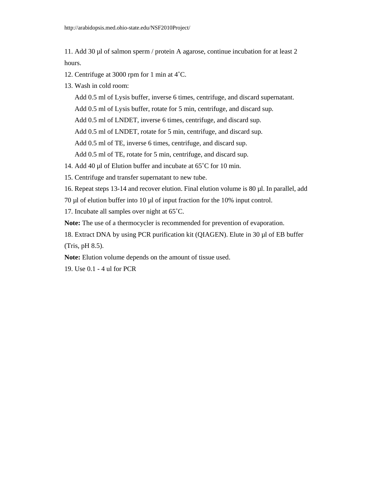11. Add 30 µl of salmon sperm / protein A agarose, continue incubation for at least 2 hours.

- 12. Centrifuge at 3000 rpm for 1 min at 4˚C.
- 13. Wash in cold room:

Add 0.5 ml of Lysis buffer, inverse 6 times, centrifuge, and discard supernatant.

Add 0.5 ml of Lysis buffer, rotate for 5 min, centrifuge, and discard sup.

Add 0.5 ml of LNDET, inverse 6 times, centrifuge, and discard sup.

Add 0.5 ml of LNDET, rotate for 5 min, centrifuge, and discard sup.

Add 0.5 ml of TE, inverse 6 times, centrifuge, and discard sup.

Add 0.5 ml of TE, rotate for 5 min, centrifuge, and discard sup.

14. Add 40 µl of Elution buffer and incubate at 65°C for 10 min.

15. Centrifuge and transfer supernatant to new tube.

16. Repeat steps 13-14 and recover elution. Final elution volume is 80 µl. In parallel, add

70 µl of elution buffer into 10 µl of input fraction for the 10% input control.

17. Incubate all samples over night at 65˚C.

**Note:** The use of a thermocycler is recommended for prevention of evaporation.

18. Extract DNA by using PCR purification kit (QIAGEN). Elute in 30 µl of EB buffer (Tris, pH 8.5).

**Note:** Elution volume depends on the amount of tissue used.

19. Use 0.1 - 4 ul for PCR